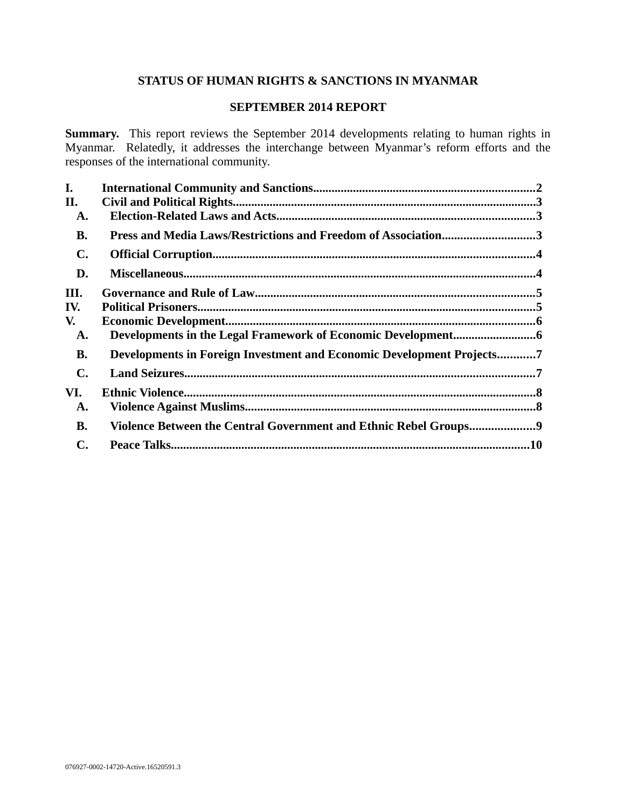# **STATUS OF HUMAN RIGHTS & SANCTIONS IN MYANMAR**

#### **SEPTEMBER 2014 REPORT**

**Summary.** This report reviews the September 2014 developments relating to human rights in Myanmar. Relatedly, it addresses the interchange between Myanmar's reform efforts and the responses of the international community.

| L.             |                                                                       |  |
|----------------|-----------------------------------------------------------------------|--|
| II.            |                                                                       |  |
| A.             |                                                                       |  |
| <b>B.</b>      | Press and Media Laws/Restrictions and Freedom of Association3         |  |
| $\mathbf{C}$ . |                                                                       |  |
| D.             |                                                                       |  |
| III.           |                                                                       |  |
| IV.            |                                                                       |  |
| V.             |                                                                       |  |
| A.             |                                                                       |  |
| <b>B.</b>      | Developments in Foreign Investment and Economic Development Projects7 |  |
| $\mathbf{C}$ . |                                                                       |  |
| VI.            |                                                                       |  |
| A.             |                                                                       |  |
| <b>B.</b>      | Violence Between the Central Government and Ethnic Rebel Groups9      |  |
| $\mathbf{C}$ . |                                                                       |  |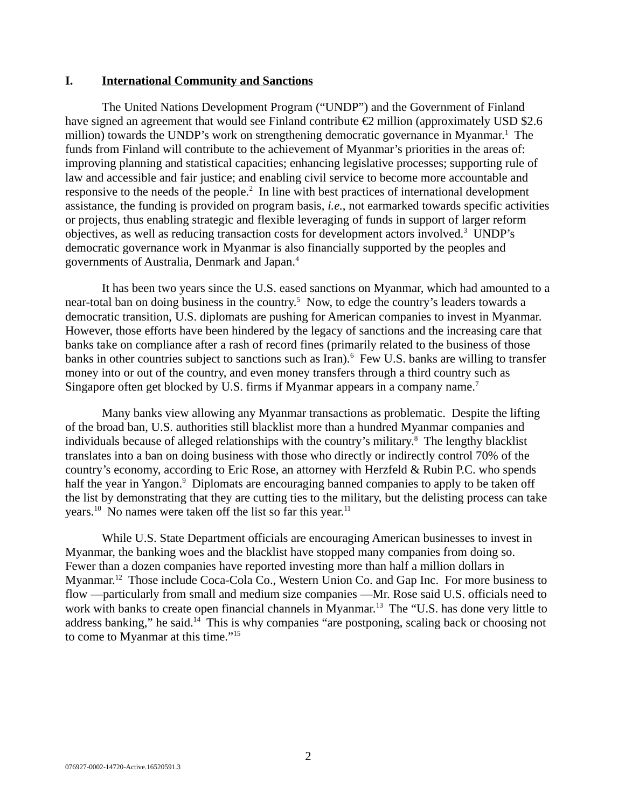#### **I. International Community and Sanctions**

The United Nations Development Program ("UNDP") and the Government of Finland have signed an agreement that would see Finland contribute €2 million (approximately USD \$2.6 million) towards the UNDP's work on strengthening democratic governance in Myanmar.<sup>1</sup> The funds from Finland will contribute to the achievement of Myanmar's priorities in the areas of: improving planning and statistical capacities; enhancing legislative processes; supporting rule of law and accessible and fair justice; and enabling civil service to become more accountable and responsive to the needs of the people.<sup>2</sup> In line with best practices of international development assistance, the funding is provided on program basis, *i.e.*, not earmarked towards specific activities or projects, thus enabling strategic and flexible leveraging of funds in support of larger reform objectives, as well as reducing transaction costs for development actors involved.<sup>3</sup> UNDP's democratic governance work in Myanmar is also financially supported by the peoples and governments of Australia, Denmark and Japan.<sup>4</sup>

It has been two years since the U.S. eased sanctions on Myanmar, which had amounted to a near-total ban on doing business in the country.<sup>5</sup> Now, to edge the country's leaders towards a democratic transition, U.S. diplomats are pushing for American companies to invest in Myanmar. However, those efforts have been hindered by the legacy of sanctions and the increasing care that banks take on compliance after a rash of record fines (primarily related to the business of those banks in other countries subject to sanctions such as Iran).<sup>6</sup> Few U.S. banks are willing to transfer money into or out of the country, and even money transfers through a third country such as Singapore often get blocked by U.S. firms if Myanmar appears in a company name.<sup>7</sup>

Many banks view allowing any Myanmar transactions as problematic. Despite the lifting of the broad ban, U.S. authorities still blacklist more than a hundred Myanmar companies and individuals because of alleged relationships with the country's military.<sup>8</sup> The lengthy blacklist translates into a ban on doing business with those who directly or indirectly control 70% of the country's economy, according to Eric Rose, an attorney with Herzfeld & Rubin P.C. who spends half the year in Yangon.<sup>9</sup> Diplomats are encouraging banned companies to apply to be taken off the list by demonstrating that they are cutting ties to the military, but the delisting process can take years.<sup>10</sup> No names were taken off the list so far this year.<sup>11</sup>

While U.S. State Department officials are encouraging American businesses to invest in Myanmar, the banking woes and the blacklist have stopped many companies from doing so. Fewer than a dozen companies have reported investing more than half a million dollars in Myanmar.<sup>12</sup> Those include Coca-Cola Co., Western Union Co. and Gap Inc. For more business to flow —particularly from small and medium size companies —Mr. Rose said U.S. officials need to work with banks to create open financial channels in Myanmar.<sup>13</sup> The "U.S. has done very little to address banking," he said.<sup>14</sup> This is why companies "are postponing, scaling back or choosing not to come to Myanmar at this time."<sup>15</sup>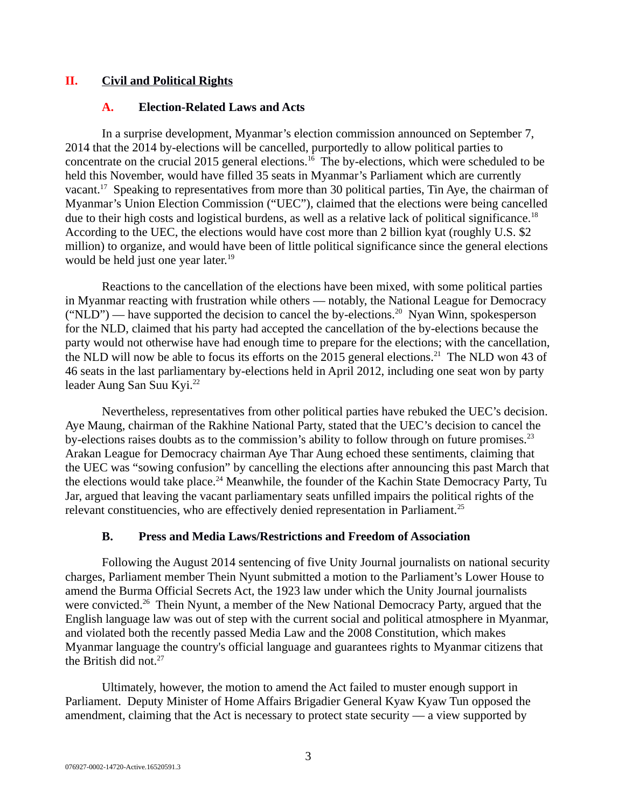### **II. Civil and Political Rights**

#### **A. Election-Related Laws and Acts**

In a surprise development, Myanmar's election commission announced on September 7, 2014 that the 2014 by-elections will be cancelled, purportedly to allow political parties to concentrate on the crucial 2015 general elections.<sup>16</sup> The by-elections, which were scheduled to be held this November, would have filled 35 seats in Myanmar's Parliament which are currently vacant.<sup>17</sup> Speaking to representatives from more than 30 political parties, Tin Aye, the chairman of Myanmar's Union Election Commission ("UEC"), claimed that the elections were being cancelled due to their high costs and logistical burdens, as well as a relative lack of political significance.<sup>18</sup> According to the UEC, the elections would have cost more than 2 billion kyat (roughly U.S. \$2 million) to organize, and would have been of little political significance since the general elections would be held just one year later.<sup>19</sup>

Reactions to the cancellation of the elections have been mixed, with some political parties in Myanmar reacting with frustration while others — notably, the National League for Democracy  $("NLD")$  — have supported the decision to cancel the by-elections.<sup>20</sup> Nyan Winn, spokesperson for the NLD, claimed that his party had accepted the cancellation of the by-elections because the party would not otherwise have had enough time to prepare for the elections; with the cancellation, the NLD will now be able to focus its efforts on the 2015 general elections.<sup>21</sup> The NLD won 43 of 46 seats in the last parliamentary by-elections held in April 2012, including one seat won by party leader Aung San Suu Kyi.<sup>22</sup>

Nevertheless, representatives from other political parties have rebuked the UEC's decision. Aye Maung, chairman of the Rakhine National Party, stated that the UEC's decision to cancel the by-elections raises doubts as to the commission's ability to follow through on future promises. $^{23}$ Arakan League for Democracy chairman Aye Thar Aung echoed these sentiments, claiming that the UEC was "sowing confusion" by cancelling the elections after announcing this past March that the elections would take place.<sup>24</sup> Meanwhile, the founder of the Kachin State Democracy Party, Tu Jar, argued that leaving the vacant parliamentary seats unfilled impairs the political rights of the relevant constituencies, who are effectively denied representation in Parliament.<sup>25</sup>

#### **B. Press and Media Laws/Restrictions and Freedom of Association**

Following the August 2014 sentencing of five Unity Journal journalists on national security charges, Parliament member Thein Nyunt submitted a motion to the Parliament's Lower House to amend the Burma Official Secrets Act, the 1923 law under which the Unity Journal journalists were convicted.<sup>26</sup> Thein Nyunt, a member of the New National Democracy Party, argued that the English language law was out of step with the current social and political atmosphere in Myanmar, and violated both the recently passed Media Law and the 2008 Constitution, which makes Myanmar language the country's official language and guarantees rights to Myanmar citizens that the British did not. $27$ 

Ultimately, however, the motion to amend the Act failed to muster enough support in Parliament. Deputy Minister of Home Affairs Brigadier General Kyaw Kyaw Tun opposed the amendment, claiming that the Act is necessary to protect state security — a view supported by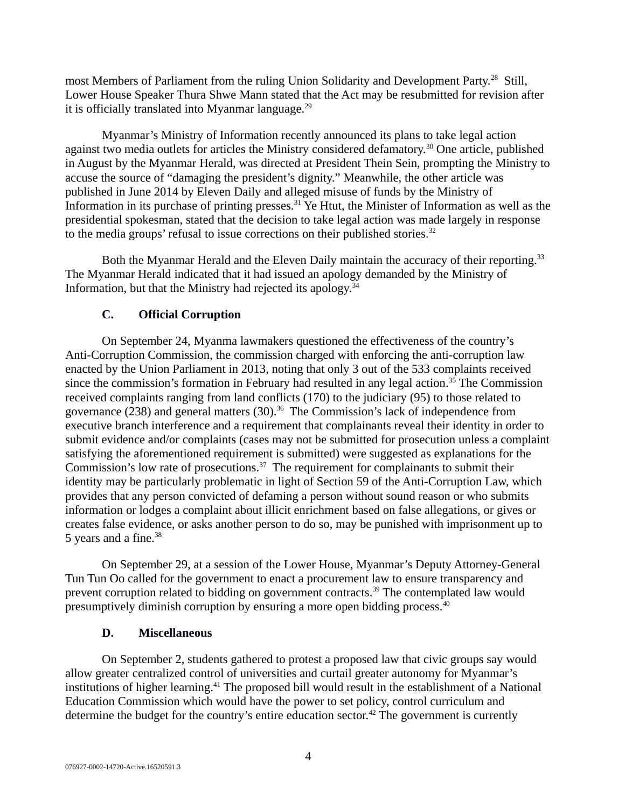most Members of Parliament from the ruling Union Solidarity and Development Party.<sup>28</sup> Still, Lower House Speaker Thura Shwe Mann stated that the Act may be resubmitted for revision after it is officially translated into Myanmar language. $^{29}$ 

Myanmar's Ministry of Information recently announced its plans to take legal action against two media outlets for articles the Ministry considered defamatory.<sup>30</sup> One article, published in August by the Myanmar Herald, was directed at President Thein Sein, prompting the Ministry to accuse the source of "damaging the president's dignity." Meanwhile, the other article was published in June 2014 by Eleven Daily and alleged misuse of funds by the Ministry of Information in its purchase of printing presses.<sup>31</sup> Ye Htut, the Minister of Information as well as the presidential spokesman, stated that the decision to take legal action was made largely in response to the media groups' refusal to issue corrections on their published stories.<sup>32</sup>

Both the Myanmar Herald and the Eleven Daily maintain the accuracy of their reporting.<sup>33</sup> The Myanmar Herald indicated that it had issued an apology demanded by the Ministry of Information, but that the Ministry had rejected its apology. $34$ 

# **C. Official Corruption**

On September 24, Myanma lawmakers questioned the effectiveness of the country's Anti-Corruption Commission, the commission charged with enforcing the anti-corruption law enacted by the Union Parliament in 2013, noting that only 3 out of the 533 complaints received since the commission's formation in February had resulted in any legal action.<sup>35</sup> The Commission received complaints ranging from land conflicts (170) to the judiciary (95) to those related to governance (238) and general matters (30).<sup>36</sup> The Commission's lack of independence from executive branch interference and a requirement that complainants reveal their identity in order to submit evidence and/or complaints (cases may not be submitted for prosecution unless a complaint satisfying the aforementioned requirement is submitted) were suggested as explanations for the Commission's low rate of prosecutions.<sup>37</sup> The requirement for complainants to submit their identity may be particularly problematic in light of Section 59 of the Anti-Corruption Law, which provides that any person convicted of defaming a person without sound reason or who submits information or lodges a complaint about illicit enrichment based on false allegations, or gives or creates false evidence, or asks another person to do so, may be punished with imprisonment up to 5 years and a fine.<sup>38</sup>

On September 29, at a session of the Lower House, Myanmar's Deputy Attorney-General Tun Tun Oo called for the government to enact a procurement law to ensure transparency and prevent corruption related to bidding on government contracts.<sup>39</sup> The contemplated law would presumptively diminish corruption by ensuring a more open bidding process.<sup>40</sup>

# **D. Miscellaneous**

On September 2, students gathered to protest a proposed law that civic groups say would allow greater centralized control of universities and curtail greater autonomy for Myanmar's institutions of higher learning.<sup>41</sup> The proposed bill would result in the establishment of a National Education Commission which would have the power to set policy, control curriculum and determine the budget for the country's entire education sector.<sup>42</sup> The government is currently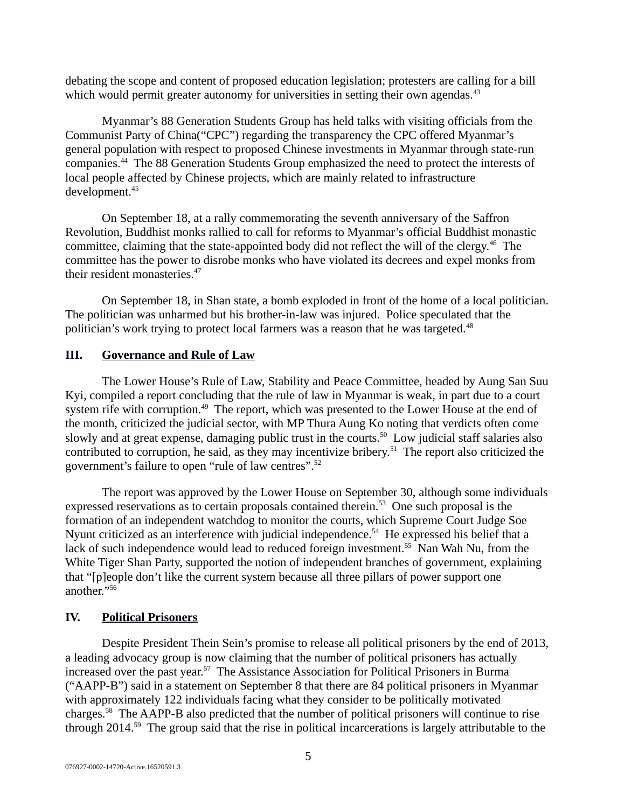debating the scope and content of proposed education legislation; protesters are calling for a bill which would permit greater autonomy for universities in setting their own agendas. $43$ 

Myanmar's 88 Generation Students Group has held talks with visiting officials from the Communist Party of China("CPC") regarding the transparency the CPC offered Myanmar's general population with respect to proposed Chinese investments in Myanmar through state-run companies.<sup>44</sup> The 88 Generation Students Group emphasized the need to protect the interests of local people affected by Chinese projects, which are mainly related to infrastructure development.<sup>45</sup>

On September 18, at a rally commemorating the seventh anniversary of the Saffron Revolution, Buddhist monks rallied to call for reforms to Myanmar's official Buddhist monastic committee, claiming that the state-appointed body did not reflect the will of the clergy.<sup>46</sup> The committee has the power to disrobe monks who have violated its decrees and expel monks from their resident monasteries.<sup>47</sup>

On September 18, in Shan state, a bomb exploded in front of the home of a local politician. The politician was unharmed but his brother-in-law was injured. Police speculated that the politician's work trying to protect local farmers was a reason that he was targeted.<sup>48</sup>

#### **III. Governance and Rule of Law**

The Lower House's Rule of Law, Stability and Peace Committee, headed by Aung San Suu Kyi, compiled a report concluding that the rule of law in Myanmar is weak, in part due to a court system rife with corruption.<sup>49</sup> The report, which was presented to the Lower House at the end of the month, criticized the judicial sector, with MP Thura Aung Ko noting that verdicts often come slowly and at great expense, damaging public trust in the courts.<sup>50</sup> Low judicial staff salaries also contributed to corruption, he said, as they may incentivize bribery.<sup>51</sup> The report also criticized the government's failure to open "rule of law centres".<sup>52</sup>

The report was approved by the Lower House on September 30, although some individuals expressed reservations as to certain proposals contained therein.<sup>53</sup> One such proposal is the formation of an independent watchdog to monitor the courts, which Supreme Court Judge Soe Nyunt criticized as an interference with judicial independence.<sup>54</sup> He expressed his belief that a lack of such independence would lead to reduced foreign investment.<sup>55</sup> Nan Wah Nu, from the White Tiger Shan Party, supported the notion of independent branches of government, explaining that "[p]eople don't like the current system because all three pillars of power support one another."<sup>56</sup>

#### **IV. Political Prisoners**

Despite President Thein Sein's promise to release all political prisoners by the end of 2013, a leading advocacy group is now claiming that the number of political prisoners has actually increased over the past year.<sup>57</sup> The Assistance Association for Political Prisoners in Burma ("AAPP-B") said in a statement on September 8 that there are 84 political prisoners in Myanmar with approximately 122 individuals facing what they consider to be politically motivated charges.<sup>58</sup> The AAPP-B also predicted that the number of political prisoners will continue to rise through 2014.<sup>59</sup> The group said that the rise in political incarcerations is largely attributable to the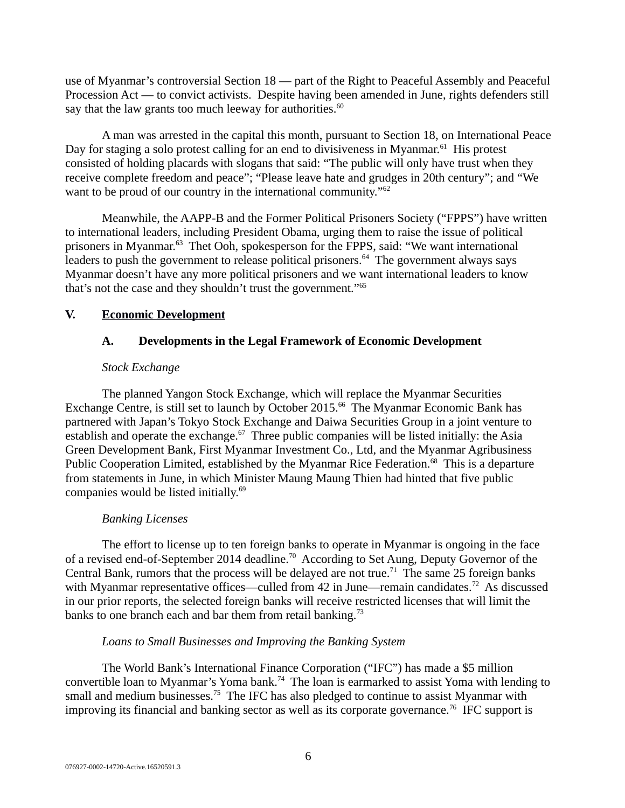use of Myanmar's controversial Section 18 — part of the Right to Peaceful Assembly and Peaceful Procession Act — to convict activists. Despite having been amended in June, rights defenders still say that the law grants too much leeway for authorities. $60$ 

A man was arrested in the capital this month, pursuant to Section 18, on International Peace Day for staging a solo protest calling for an end to divisiveness in Myanmar.<sup>61</sup> His protest consisted of holding placards with slogans that said: "The public will only have trust when they receive complete freedom and peace"; "Please leave hate and grudges in 20th century"; and "We want to be proud of our country in the international community."<sup>62</sup>

Meanwhile, the AAPP-B and the Former Political Prisoners Society ("FPPS") have written to international leaders, including President Obama, urging them to raise the issue of political prisoners in Myanmar.<sup>63</sup> Thet Ooh, spokesperson for the FPPS, said: "We want international leaders to push the government to release political prisoners. $64$  The government always says Myanmar doesn't have any more political prisoners and we want international leaders to know that's not the case and they shouldn't trust the government."<sup>65</sup>

### **V. Economic Development**

# **A. Developments in the Legal Framework of Economic Development**

### *Stock Exchange*

The planned Yangon Stock Exchange, which will replace the Myanmar Securities Exchange Centre, is still set to launch by October 2015.<sup>66</sup> The Myanmar Economic Bank has partnered with Japan's Tokyo Stock Exchange and Daiwa Securities Group in a joint venture to establish and operate the exchange. $67$  Three public companies will be listed initially: the Asia Green Development Bank, First Myanmar Investment Co., Ltd, and the Myanmar Agribusiness Public Cooperation Limited, established by the Myanmar Rice Federation.<sup>68</sup> This is a departure from statements in June, in which Minister Maung Maung Thien had hinted that five public companies would be listed initially.<sup>69</sup>

# *Banking Licenses*

The effort to license up to ten foreign banks to operate in Myanmar is ongoing in the face of a revised end-of-September 2014 deadline.<sup>70</sup> According to Set Aung, Deputy Governor of the Central Bank, rumors that the process will be delayed are not true.<sup>71</sup> The same 25 foreign banks with Myanmar representative offices—culled from 42 in June—remain candidates.<sup>72</sup> As discussed in our prior reports, the selected foreign banks will receive restricted licenses that will limit the banks to one branch each and bar them from retail banking.<sup>73</sup>

#### *Loans to Small Businesses and Improving the Banking System*

The World Bank's International Finance Corporation ("IFC") has made a \$5 million convertible loan to Myanmar's Yoma bank.<sup>74</sup> The loan is earmarked to assist Yoma with lending to small and medium businesses.<sup>75</sup> The IFC has also pledged to continue to assist Myanmar with improving its financial and banking sector as well as its corporate governance.<sup>76</sup> IFC support is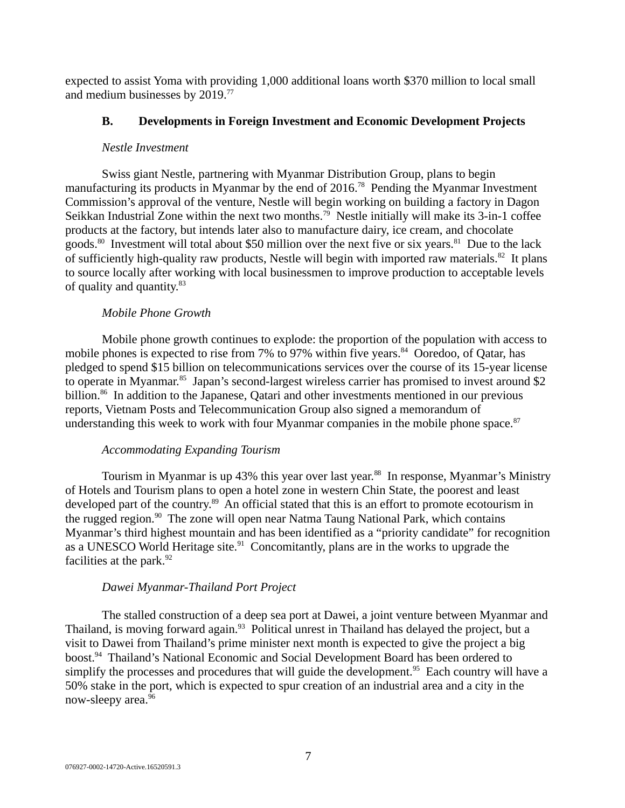expected to assist Yoma with providing 1,000 additional loans worth \$370 million to local small and medium businesses by 2019.<sup>77</sup>

### **B. Developments in Foreign Investment and Economic Development Projects**

#### *Nestle Investment*

Swiss giant Nestle, partnering with Myanmar Distribution Group, plans to begin manufacturing its products in Myanmar by the end of 2016.<sup>78</sup> Pending the Myanmar Investment Commission's approval of the venture, Nestle will begin working on building a factory in Dagon Seikkan Industrial Zone within the next two months.<sup>79</sup> Nestle initially will make its 3-in-1 coffee products at the factory, but intends later also to manufacture dairy, ice cream, and chocolate goods.<sup>80</sup> Investment will total about \$50 million over the next five or six years.<sup>81</sup> Due to the lack of sufficiently high-quality raw products, Nestle will begin with imported raw materials.<sup>82</sup> It plans to source locally after working with local businessmen to improve production to acceptable levels of quality and quantity.<sup>83</sup>

# *Mobile Phone Growth*

Mobile phone growth continues to explode: the proportion of the population with access to mobile phones is expected to rise from 7% to 97% within five years. $84$  Ooredoo, of Qatar, has pledged to spend \$15 billion on telecommunications services over the course of its 15-year license to operate in Myanmar.<sup>85</sup> Japan's second-largest wireless carrier has promised to invest around \$2 billion.<sup>86</sup> In addition to the Japanese, Qatari and other investments mentioned in our previous reports, Vietnam Posts and Telecommunication Group also signed a memorandum of understanding this week to work with four Myanmar companies in the mobile phone space. $87$ 

# *Accommodating Expanding Tourism*

Tourism in Myanmar is up 43% this year over last year.<sup>88</sup> In response, Myanmar's Ministry of Hotels and Tourism plans to open a hotel zone in western Chin State, the poorest and least developed part of the country.<sup>89</sup> An official stated that this is an effort to promote ecotourism in the rugged region. $90$  The zone will open near Natma Taung National Park, which contains Myanmar's third highest mountain and has been identified as a "priority candidate" for recognition as a UNESCO World Heritage site.<sup>91</sup> Concomitantly, plans are in the works to upgrade the facilities at the park. $92$ 

# *Dawei Myanmar-Thailand Port Project*

The stalled construction of a deep sea port at Dawei, a joint venture between Myanmar and Thailand, is moving forward again.<sup>93</sup> Political unrest in Thailand has delayed the project, but a visit to Dawei from Thailand's prime minister next month is expected to give the project a big boost.<sup>94</sup> Thailand's National Economic and Social Development Board has been ordered to simplify the processes and procedures that will guide the development.<sup>95</sup> Each country will have a 50% stake in the port, which is expected to spur creation of an industrial area and a city in the now-sleepy area.<sup>96</sup>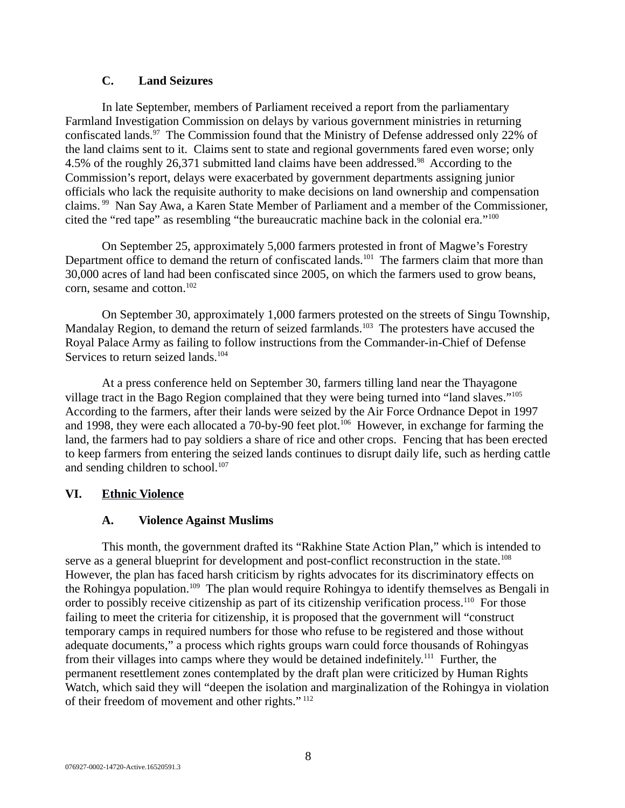### **C. Land Seizures**

In late September, members of Parliament received a report from the parliamentary Farmland Investigation Commission on delays by various government ministries in returning confiscated lands.<sup>97</sup> The Commission found that the Ministry of Defense addressed only 22% of the land claims sent to it. Claims sent to state and regional governments fared even worse; only 4.5% of the roughly 26,371 submitted land claims have been addressed.<sup>98</sup> According to the Commission's report, delays were exacerbated by government departments assigning junior officials who lack the requisite authority to make decisions on land ownership and compensation claims. <sup>99</sup> Nan Say Awa, a Karen State Member of Parliament and a member of the Commissioner, cited the "red tape" as resembling "the bureaucratic machine back in the colonial era."<sup>100</sup>

On September 25, approximately 5,000 farmers protested in front of Magwe's Forestry Department office to demand the return of confiscated lands.<sup>101</sup> The farmers claim that more than 30,000 acres of land had been confiscated since 2005, on which the farmers used to grow beans, corn, sesame and cotton.<sup>102</sup>

On September 30, approximately 1,000 farmers protested on the streets of Singu Township, Mandalay Region, to demand the return of seized farmlands.<sup>103</sup> The protesters have accused the Royal Palace Army as failing to follow instructions from the Commander-in-Chief of Defense Services to return seized lands.<sup>104</sup>

At a press conference held on September 30, farmers tilling land near the Thayagone village tract in the Bago Region complained that they were being turned into "land slaves."<sup>105</sup> According to the farmers, after their lands were seized by the Air Force Ordnance Depot in 1997 and 1998, they were each allocated a 70-by-90 feet plot.<sup>106</sup> However, in exchange for farming the land, the farmers had to pay soldiers a share of rice and other crops. Fencing that has been erected to keep farmers from entering the seized lands continues to disrupt daily life, such as herding cattle and sending children to school.<sup>107</sup>

# **VI. Ethnic Violence**

# **A. Violence Against Muslims**

This month, the government drafted its "Rakhine State Action Plan," which is intended to serve as a general blueprint for development and post-conflict reconstruction in the state.<sup>108</sup> However, the plan has faced harsh criticism by rights advocates for its discriminatory effects on the Rohingya population.<sup>109</sup> The plan would require Rohingya to identify themselves as Bengali in order to possibly receive citizenship as part of its citizenship verification process.<sup>110</sup> For those failing to meet the criteria for citizenship, it is proposed that the government will "construct temporary camps in required numbers for those who refuse to be registered and those without adequate documents," a process which rights groups warn could force thousands of Rohingyas from their villages into camps where they would be detained indefinitely.<sup>111</sup> Further, the permanent resettlement zones contemplated by the draft plan were criticized by Human Rights Watch, which said they will "deepen the isolation and marginalization of the Rohingya in violation of their freedom of movement and other rights." <sup>112</sup>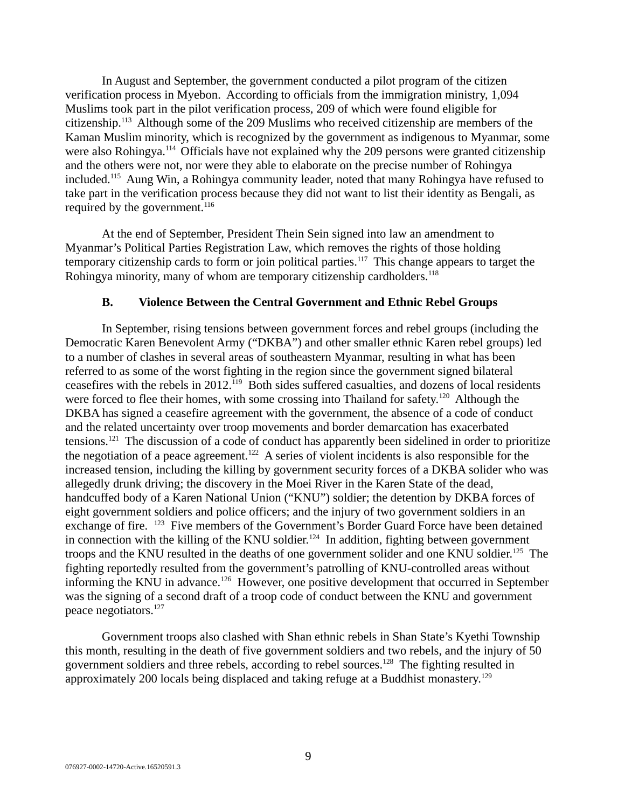In August and September, the government conducted a pilot program of the citizen verification process in Myebon. According to officials from the immigration ministry, 1,094 Muslims took part in the pilot verification process, 209 of which were found eligible for citizenship.<sup>113</sup> Although some of the 209 Muslims who received citizenship are members of the Kaman Muslim minority, which is recognized by the government as indigenous to Myanmar, some were also Rohingya.<sup>114</sup> Officials have not explained why the 209 persons were granted citizenship and the others were not, nor were they able to elaborate on the precise number of Rohingya included.<sup>115</sup> Aung Win, a Rohingya community leader, noted that many Rohingya have refused to take part in the verification process because they did not want to list their identity as Bengali, as required by the government. $116$ 

At the end of September, President Thein Sein signed into law an amendment to Myanmar's Political Parties Registration Law, which removes the rights of those holding temporary citizenship cards to form or join political parties.<sup>117</sup> This change appears to target the Rohingya minority, many of whom are temporary citizenship cardholders.<sup>118</sup>

#### **B. Violence Between the Central Government and Ethnic Rebel Groups**

In September, rising tensions between government forces and rebel groups (including the Democratic Karen Benevolent Army ("DKBA") and other smaller ethnic Karen rebel groups) led to a number of clashes in several areas of southeastern Myanmar, resulting in what has been referred to as some of the worst fighting in the region since the government signed bilateral ceasefires with the rebels in 2012.<sup>119</sup> Both sides suffered casualties, and dozens of local residents were forced to flee their homes, with some crossing into Thailand for safety.<sup>120</sup> Although the DKBA has signed a ceasefire agreement with the government, the absence of a code of conduct and the related uncertainty over troop movements and border demarcation has exacerbated tensions.<sup>121</sup> The discussion of a code of conduct has apparently been sidelined in order to prioritize the negotiation of a peace agreement.<sup>122</sup> A series of violent incidents is also responsible for the increased tension, including the killing by government security forces of a DKBA solider who was allegedly drunk driving; the discovery in the Moei River in the Karen State of the dead, handcuffed body of a Karen National Union ("KNU") soldier; the detention by DKBA forces of eight government soldiers and police officers; and the injury of two government soldiers in an exchange of fire. <sup>123</sup> Five members of the Government's Border Guard Force have been detained in connection with the killing of the KNU soldier.<sup>124</sup> In addition, fighting between government troops and the KNU resulted in the deaths of one government solider and one KNU soldier.<sup>125</sup> The fighting reportedly resulted from the government's patrolling of KNU-controlled areas without informing the KNU in advance.<sup>126</sup> However, one positive development that occurred in September was the signing of a second draft of a troop code of conduct between the KNU and government peace negotiators.<sup>127</sup>

Government troops also clashed with Shan ethnic rebels in Shan State's Kyethi Township this month, resulting in the death of five government soldiers and two rebels, and the injury of 50 government soldiers and three rebels, according to rebel sources.<sup>128</sup> The fighting resulted in approximately 200 locals being displaced and taking refuge at a Buddhist monastery.<sup>129</sup>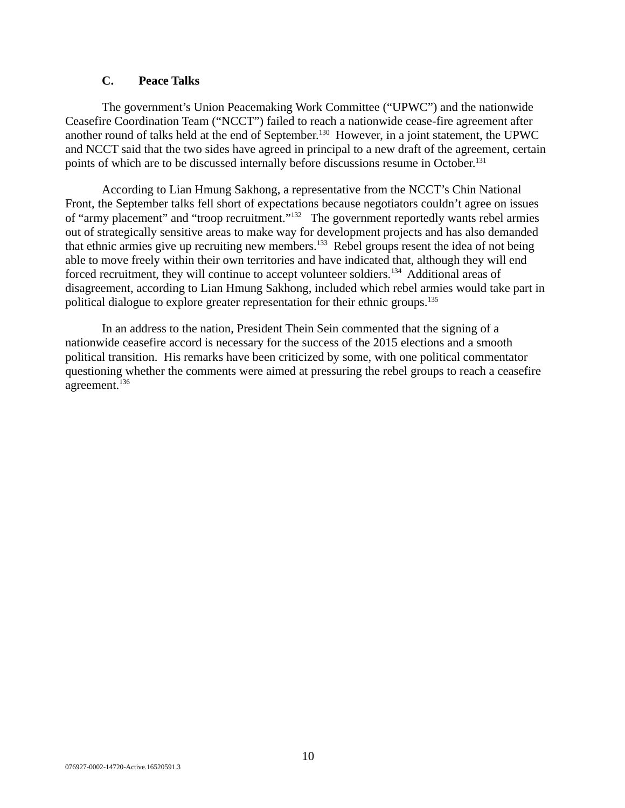# **C. Peace Talks**

The government's Union Peacemaking Work Committee ("UPWC") and the nationwide Ceasefire Coordination Team ("NCCT") failed to reach a nationwide cease-fire agreement after another round of talks held at the end of September.<sup>130</sup> However, in a joint statement, the UPWC and NCCT said that the two sides have agreed in principal to a new draft of the agreement, certain points of which are to be discussed internally before discussions resume in October.<sup>131</sup>

According to Lian Hmung Sakhong, a representative from the NCCT's Chin National Front, the September talks fell short of expectations because negotiators couldn't agree on issues of "army placement" and "troop recruitment."<sup>132</sup> The government reportedly wants rebel armies out of strategically sensitive areas to make way for development projects and has also demanded that ethnic armies give up recruiting new members.<sup>133</sup> Rebel groups resent the idea of not being able to move freely within their own territories and have indicated that, although they will end forced recruitment, they will continue to accept volunteer soldiers.<sup>134</sup> Additional areas of disagreement, according to Lian Hmung Sakhong, included which rebel armies would take part in political dialogue to explore greater representation for their ethnic groups.<sup>135</sup>

In an address to the nation, President Thein Sein commented that the signing of a nationwide ceasefire accord is necessary for the success of the 2015 elections and a smooth political transition. His remarks have been criticized by some, with one political commentator questioning whether the comments were aimed at pressuring the rebel groups to reach a ceasefire agreement.<sup>136</sup>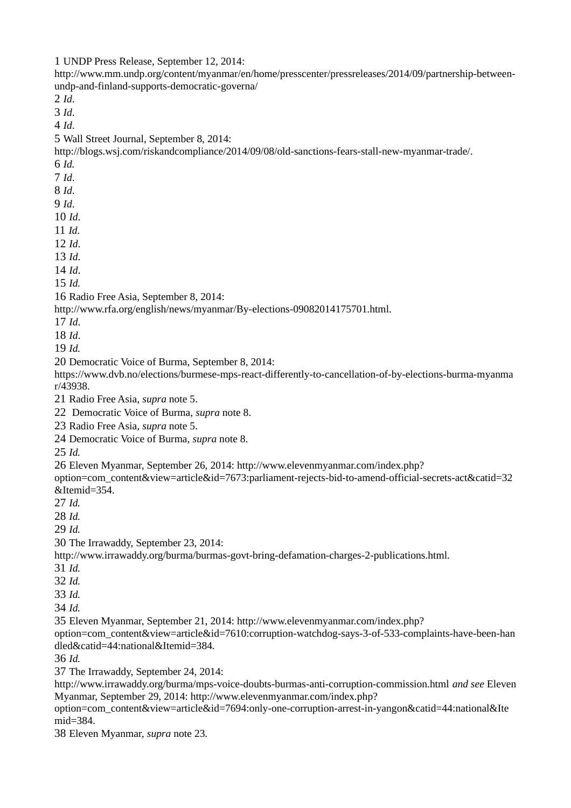UNDP Press Release, September 12, 2014:

http://www.mm.undp.org/content/myanmar/en/home/presscenter/pressreleases/2014/09/partnership-betweenundp-and-finland-supports-democratic-governa/ *Id*. *Id*. *Id*. Wall Street Journal, September 8, 2014: http://blogs.wsj.com/riskandcompliance/2014/09/08/old-sanctions-fears-stall-new-myanmar-trade/. *Id. Id*. *Id*. *Id*. *Id*. *Id. Id*. *Id*. *Id*. *Id.* Radio Free Asia, September 8, 2014: http://www.rfa.org/english/news/myanmar/By-elections-09082014175701.html. *Id*. *Id*. *Id.*  Democratic Voice of Burma, September 8, 2014: https://www.dvb.no/elections/burmese-mps-react-differently-to-cancellation-of-by-elections-burma-myanma r/43938. Radio Free Asia, *supra* note 5. Democratic Voice of Burma, *supra* note 8. Radio Free Asia, *supra* note 5. Democratic Voice of Burma, *supra* note 8. *Id.* Eleven Myanmar, September 26, 2014: http://www.elevenmyanmar.com/index.php? option=com\_content&view=article&id=7673:parliament-rejects-bid-to-amend-official-secrets-act&catid=32 &Itemid=354. *Id. Id. Id.* The Irrawaddy, September 23, 2014: http://www.irrawaddy.org/burma/burmas-govt-bring-defamation-charges-2-publications.html. *Id. Id. Id. Id.* Eleven Myanmar, September 21, 2014: http://www.elevenmyanmar.com/index.php? option=com\_content&view=article&id=7610:corruption-watchdog-says-3-of-533-complaints-have-been-han dled&catid=44:national&Itemid=384. *Id.* The Irrawaddy, September 24, 2014: http://www.irrawaddy.org/burma/mps-voice-doubts-burmas-anti-corruption-commission.html *and see* Eleven Myanmar, September 29, 2014: http://www.elevenmyanmar.com/index.php? option=com\_content&view=article&id=7694:only-one-corruption-arrest-in-yangon&catid=44:national&Ite mid=384. Eleven Myanmar, *supra* note 23.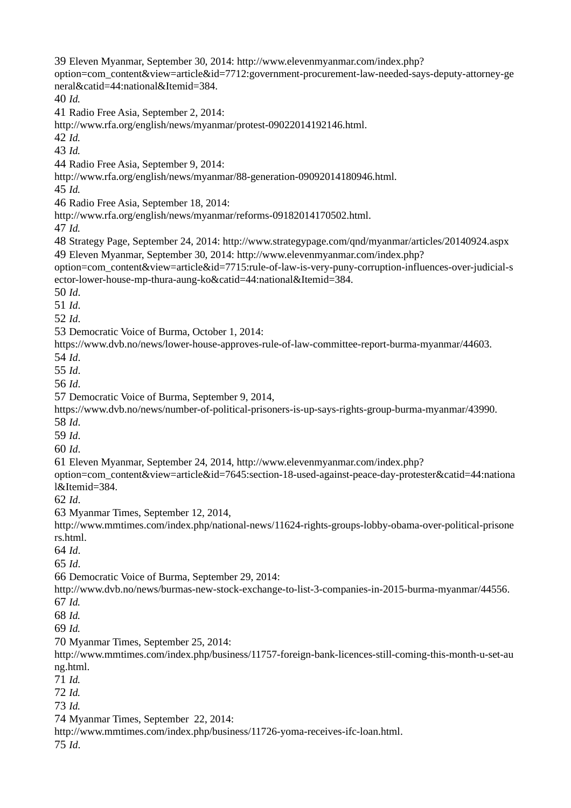Eleven Myanmar, September 30, 2014: http://www.elevenmyanmar.com/index.php? option=com\_content&view=article&id=7712:government-procurement-law-needed-says-deputy-attorney-ge neral&catid=44:national&Itemid=384. *Id.* Radio Free Asia, September 2, 2014: http://www.rfa.org/english/news/myanmar/protest-09022014192146.html. *Id. Id.* Radio Free Asia, September 9, 2014: http://www.rfa.org/english/news/myanmar/88-generation-09092014180946.html. *Id.* Radio Free Asia, September 18, 2014: http://www.rfa.org/english/news/myanmar/reforms-09182014170502.html. *Id.* Strategy Page, September 24, 2014: http://www.strategypage.com/qnd/myanmar/articles/20140924.aspx Eleven Myanmar, September 30, 2014: http://www.elevenmyanmar.com/index.php? option=com\_content&view=article&id=7715:rule-of-law-is-very-puny-corruption-influences-over-judicial-s ector-lower-house-mp-thura-aung-ko&catid=44:national&Itemid=384. *Id*. *Id*. *Id*. Democratic Voice of Burma, October 1, 2014: https://www.dvb.no/news/lower-house-approves-rule-of-law-committee-report-burma-myanmar/44603. *Id*. *Id*. *Id*. Democratic Voice of Burma, September 9, 2014, https://www.dvb.no/news/number-of-political-prisoners-is-up-says-rights-group-burma-myanmar/43990. *Id*. *Id*. *Id*. Eleven Myanmar, September 24, 2014, http://www.elevenmyanmar.com/index.php? option=com\_content&view=article&id=7645:section-18-used-against-peace-day-protester&catid=44:nationa l&Itemid=384. *Id*. Myanmar Times, September 12, 2014, http://www.mmtimes.com/index.php/national-news/11624-rights-groups-lobby-obama-over-political-prisone rs.html. *Id*. *Id*. Democratic Voice of Burma, September 29, 2014: http://www.dvb.no/news/burmas-new-stock-exchange-to-list-3-companies-in-2015-burma-myanmar/44556. *Id. Id. Id.* Myanmar Times, September 25, 2014: http://www.mmtimes.com/index.php/business/11757-foreign-bank-licences-still-coming-this-month-u-set-au ng.html. *Id. Id. Id.* Myanmar Times, September 22, 2014: http://www.mmtimes.com/index.php/business/11726-yoma-receives-ifc-loan.html. *Id*.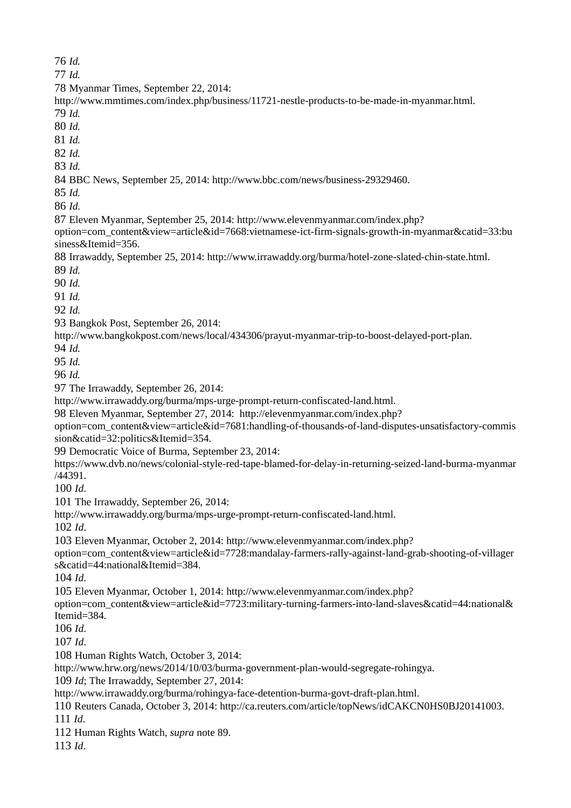*Id.*

*Id.*

Myanmar Times, September 22, 2014:

http://www.mmtimes.com/index.php/business/11721-nestle-products-to-be-made-in-myanmar.html. *Id.*

*Id.*

*Id.*

*Id.*

*Id.*

BBC News, September 25, 2014: http://www.bbc.com/news/business-29329460.

*Id.*

*Id.*

Eleven Myanmar, September 25, 2014: http://www.elevenmyanmar.com/index.php?

option=com\_content&view=article&id=7668:vietnamese-ict-firm-signals-growth-in-myanmar&catid=33:bu siness&Itemid=356.

Irrawaddy, September 25, 2014: http://www.irrawaddy.org/burma/hotel-zone-slated-chin-state.html.

*Id.*

*Id.*

*Id.*

*Id.*

Bangkok Post, September 26, 2014:

http://www.bangkokpost.com/news/local/434306/prayut-myanmar-trip-to-boost-delayed-port-plan.

*Id.*

*Id.*

*Id.*

The Irrawaddy, September 26, 2014:

http://www.irrawaddy.org/burma/mps-urge-prompt-return-confiscated-land.html.

Eleven Myanmar, September 27, 2014: http://elevenmyanmar.com/index.php?

option=com\_content&view=article&id=7681:handling-of-thousands-of-land-disputes-unsatisfactory-commis sion&catid=32:politics&Itemid=354.

Democratic Voice of Burma, September 23, 2014:

https://www.dvb.no/news/colonial-style-red-tape-blamed-for-delay-in-returning-seized-land-burma-myanmar /44391.

*Id*.

The Irrawaddy, September 26, 2014:

http://www.irrawaddy.org/burma/mps-urge-prompt-return-confiscated-land.html.

*Id*.

Eleven Myanmar, October 2, 2014: http://www.elevenmyanmar.com/index.php?

option=com\_content&view=article&id=7728:mandalay-farmers-rally-against-land-grab-shooting-of-villager s&catid=44:national&Itemid=384.

*Id*.

Eleven Myanmar, October 1, 2014: http://www.elevenmyanmar.com/index.php?

option=com\_content&view=article&id=7723:military-turning-farmers-into-land-slaves&catid=44:national& Itemid=384.

*Id*.

*Id*.

Human Rights Watch, October 3, 2014:

http://www.hrw.org/news/2014/10/03/burma-government-plan-would-segregate-rohingya.

*Id*; The Irrawaddy, September 27, 2014:

http://www.irrawaddy.org/burma/rohingya-face-detention-burma-govt-draft-plan.html.

Reuters Canada, October 3, 2014: http://ca.reuters.com/article/topNews/idCAKCN0HS0BJ20141003.

*Id*.

Human Rights Watch, *supra* note 89.

*Id*.